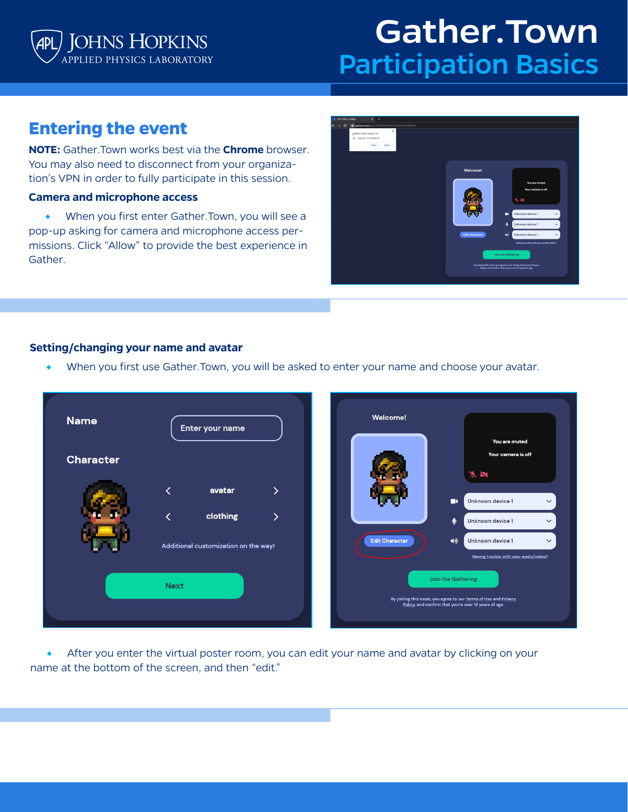

# Gather.Town Participation Basics

# **Entering the event**

**NOTE:** Gather.Town works best via the **Chrome** browser. You may also need to disconnect from your organization's VPN in order to fully participate in this session.

### **Camera and microphone access**

◆ When you first enter Gather. Town, you will see a pop-up asking for camera and microphone access permissions. Click "Allow" to provide the best experience in Gather.



#### **Setting/changing your name and avatar**

When you first use Gather.Town, you will be asked to enter your name and choose your avatar.



After you enter the virtual poster room, you can edit your name and avatar by clicking on your name at the bottom of the screen, and then "edit."